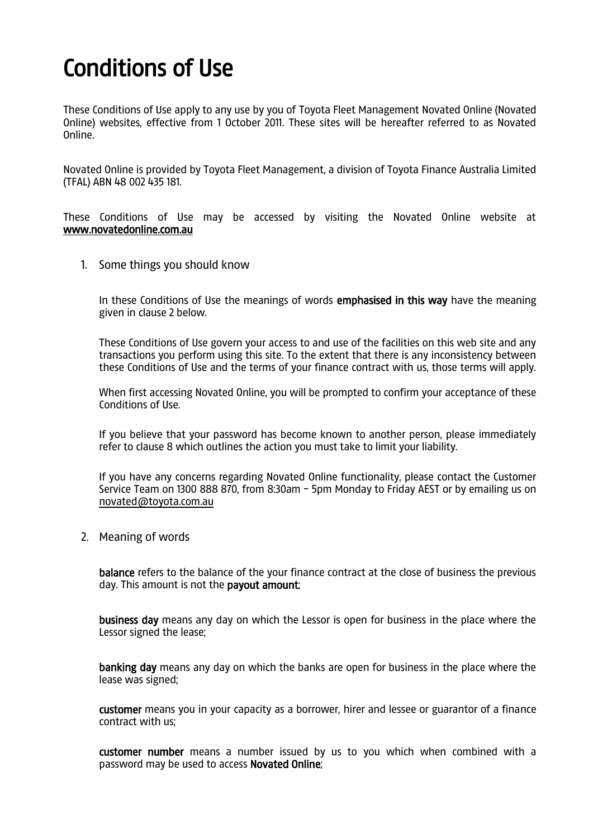## Conditions of Use

These Conditions of Use apply to any use by you of Toyota Fleet Management Novated Online (Novated Online) websites, effective from 1 October 2011. These sites will be hereafter referred to as Novated Online.

Novated Online is provided by Toyota Fleet Management, a division of Toyota Finance Australia Limited (TFAL) ABN 48 002 435 181.

These Conditions of Use may be accessed by visiting the Novated Online website at [www.novatedonline.com.au](http://www.novatedonline.com.au/)

1. Some things you should know

In these Conditions of Use the meanings of words **emphasised in this way** have the meaning given in clause 2 below.

These Conditions of Use govern your access to and use of the facilities on this web site and any transactions you perform using this site. To the extent that there is any inconsistency between these Conditions of Use and the terms of your finance contract with us, those terms will apply.

When first accessing Novated Online, you will be prompted to confirm your acceptance of these Conditions of Use.

If you believe that your password has become known to another person, please immediately refer to clause 8 which outlines the action you must take to limit your liability.

If you have any concerns regarding Novated Online functionality, please contact the Customer Service Team on 1300 888 870, from 8:30am - 5pm Monday to Friday AEST or by emailing us on [novated@toyota.com.au](mailto:novated@toyota.com.au)

2. Meaning of words

balance refers to the balance of the your finance contract at the close of business the previous day. This amount is not the payout amount;

business day means any day on which the Lessor is open for business in the place where the Lessor signed the lease;

banking day means any day on which the banks are open for business in the place where the lease was signed;

customer means you in your capacity as a borrower, hirer and lessee or guarantor of a finance contract with us;

customer number means a number issued by us to you which when combined with a password may be used to access Novated Online;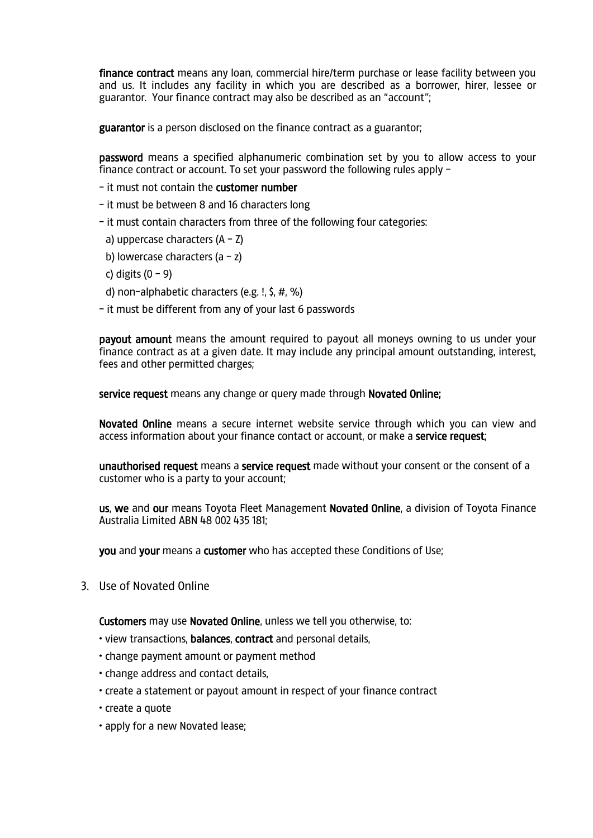finance contract means any loan, commercial hire/term purchase or lease facility between you and us. It includes any facility in which you are described as a borrower, hirer, lessee or guarantor. Your finance contract may also be described as an "account";

guarantor is a person disclosed on the finance contract as a guarantor;

password means a specified alphanumeric combination set by you to allow access to your finance contract or account. To set your password the following rules apply -

- it must not contain the customer number

- it must be between 8 and 16 characters long
- it must contain characters from three of the following four categories:
- a) uppercase characters  $(A Z)$
- b) lowercase characters  $(a z)$
- c) digits  $(0 9)$
- d) non-alphabetic characters (e.g. !, \$, #, %)
- it must be different from any of your last 6 passwords

payout amount means the amount required to payout all moneys owning to us under your finance contract as at a given date. It may include any principal amount outstanding, interest, fees and other permitted charges;

service request means any change or query made through Novated Online;

Novated Online means a secure internet website service through which you can view and access information about your finance contact or account, or make a service request;

unauthorised request means a service request made without your consent or the consent of a customer who is a party to your account;

us, we and our means Toyota Fleet Management Novated Online, a division of Toyota Finance Australia Limited ABN 48 002 435 181;

you and your means a customer who has accepted these Conditions of Use;

3. Use of Novated Online

Customers may use Novated Online, unless we tell you otherwise, to:

- view transactions, balances, contract and personal details,
- change payment amount or payment method
- change address and contact details,
- create a statement or payout amount in respect of your finance contract
- create a quote
- apply for a new Novated lease;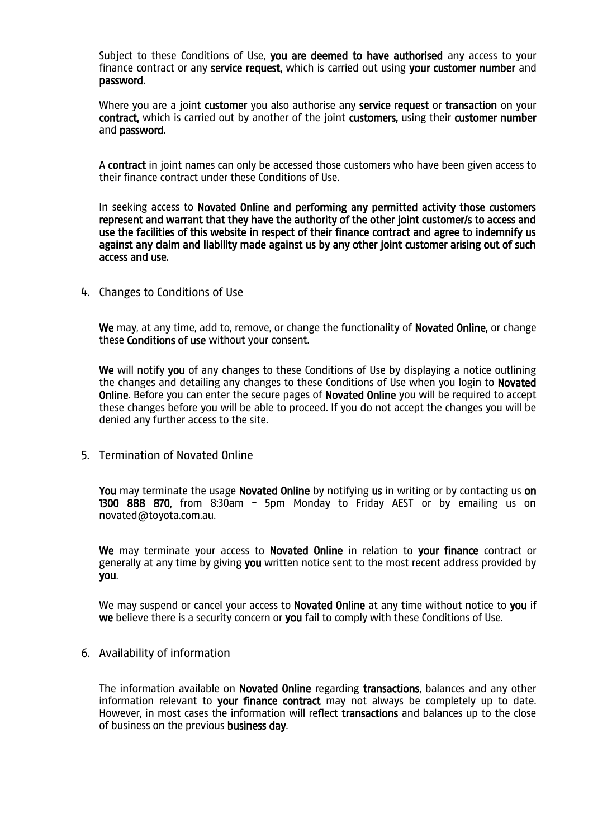Subject to these Conditions of Use, you are deemed to have authorised any access to your finance contract or any service request, which is carried out using your customer number and password.

Where you are a joint customer you also authorise any service request or transaction on your contract, which is carried out by another of the joint customers, using their customer number and password.

A contract in joint names can only be accessed those customers who have been given access to their finance contract under these Conditions of Use.

In seeking access to Novated Online and performing any permitted activity those customers represent and warrant that they have the authority of the other joint customer/s to access and use the facilities of this website in respect of their finance contract and agree to indemnify us against any claim and liability made against us by any other joint customer arising out of such access and use.

4. Changes to Conditions of Use

We may, at any time, add to, remove, or change the functionality of Novated Online, or change these Conditions of use without your consent.

We will notify you of any changes to these Conditions of Use by displaying a notice outlining the changes and detailing any changes to these Conditions of Use when you login to Novated Online. Before you can enter the secure pages of Novated Online you will be required to accept these changes before you will be able to proceed. If you do not accept the changes you will be denied any further access to the site.

5. Termination of Novated Online

You may terminate the usage Novated Online by notifying us in writing or by contacting us on 1300 888 870, from 8:30am - 5pm Monday to Friday AEST or by emailing us on [novated@toyota.com.au.](mailto:novated@toyota.com.au)

We may terminate your access to Novated Online in relation to your finance contract or generally at any time by giving you written notice sent to the most recent address provided by you.

We may suspend or cancel your access to **Novated Online** at any time without notice to you if we believe there is a security concern or you fail to comply with these Conditions of Use.

6. Availability of information

The information available on Novated Online regarding transactions, balances and any other information relevant to your finance contract may not always be completely up to date. However, in most cases the information will reflect transactions and balances up to the close of business on the previous business day.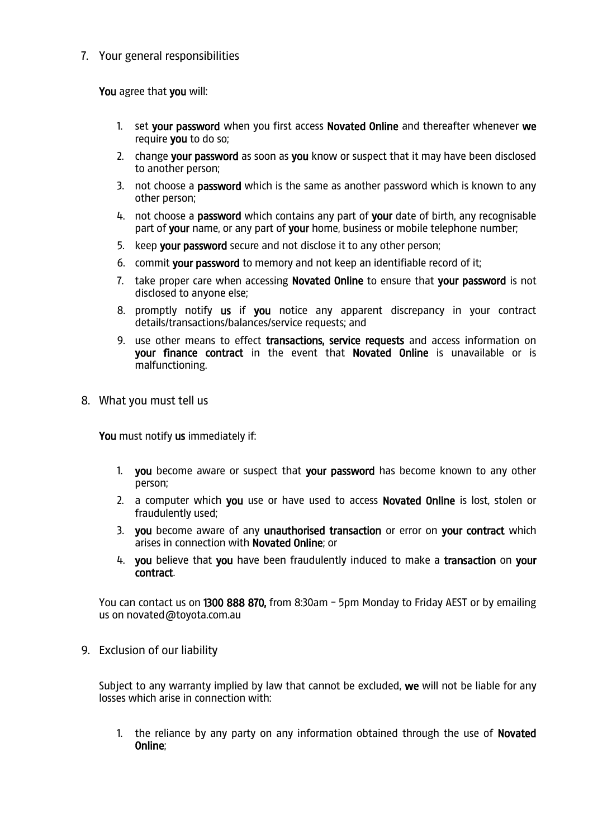7. Your general responsibilities

You agree that you will:

- 1. set your password when you first access Novated Online and thereafter whenever we require you to do so;
- 2. change your password as soon as you know or suspect that it may have been disclosed to another person;
- 3. not choose a **password** which is the same as another password which is known to any other person;
- 4. not choose a password which contains any part of your date of birth, any recognisable part of your name, or any part of your home, business or mobile telephone number;
- 5. keep your password secure and not disclose it to any other person;
- 6. commit your password to memory and not keep an identifiable record of it;
- 7. take proper care when accessing Novated Online to ensure that your password is not disclosed to anyone else;
- 8. promptly notify us if you notice any apparent discrepancy in your contract details/transactions/balances/service requests; and
- 9. use other means to effect transactions, service requests and access information on your finance contract in the event that Novated Online is unavailable or is malfunctioning.
- 8. What you must tell us

You must notify us immediately if:

- 1. you become aware or suspect that your password has become known to any other person;
- 2. a computer which you use or have used to access Novated Online is lost, stolen or fraudulently used;
- 3. you become aware of any unauthorised transaction or error on your contract which arises in connection with Novated Online; or
- 4. you believe that you have been fraudulently induced to make a transaction on your contract.

You can contact us on 1300 888 870, from 8:30am - 5pm Monday to Friday AEST or by emailing us on novated@toyota.com.au

9. Exclusion of our liability

Subject to any warranty implied by law that cannot be excluded, we will not be liable for any losses which arise in connection with:

1. the reliance by any party on any information obtained through the use of Novated Online;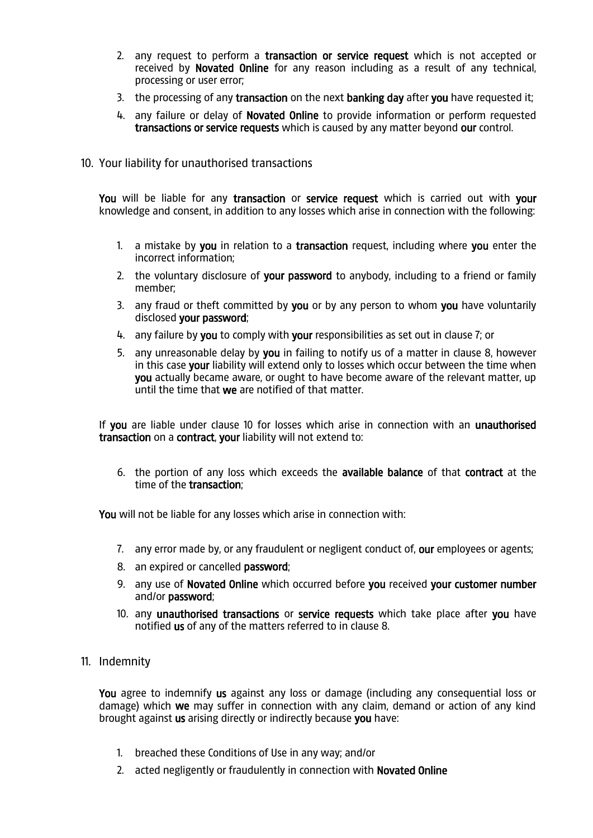- 2. any request to perform a transaction or service request which is not accepted or received by Novated Online for any reason including as a result of any technical, processing or user error;
- 3. the processing of any transaction on the next banking day after you have requested it;
- 4. any failure or delay of Novated Online to provide information or perform requested transactions or service requests which is caused by any matter beyond our control.
- 10. Your liability for unauthorised transactions

You will be liable for any transaction or service request which is carried out with your knowledge and consent, in addition to any losses which arise in connection with the following:

- 1. a mistake by you in relation to a transaction request, including where you enter the incorrect information;
- 2. the voluntary disclosure of your password to anybody, including to a friend or family member;
- 3. any fraud or theft committed by you or by any person to whom you have voluntarily disclosed your password;
- 4. any failure by you to comply with your responsibilities as set out in clause 7; or
- 5. any unreasonable delay by you in failing to notify us of a matter in clause 8, however in this case your liability will extend only to losses which occur between the time when you actually became aware, or ought to have become aware of the relevant matter, up until the time that we are notified of that matter.

If you are liable under clause 10 for losses which arise in connection with an unauthorised transaction on a contract, your liability will not extend to:

6. the portion of any loss which exceeds the available balance of that contract at the time of the transaction;

You will not be liable for any losses which arise in connection with:

- 7. any error made by, or any fraudulent or negligent conduct of, our employees or agents;
- 8. an expired or cancelled password;
- 9. any use of Novated Online which occurred before you received your customer number and/or password;
- 10. any unauthorised transactions or service requests which take place after you have notified us of any of the matters referred to in clause 8.
- 11. Indemnity

You agree to indemnify us against any loss or damage (including any consequential loss or damage) which we may suffer in connection with any claim, demand or action of any kind brought against us arising directly or indirectly because you have:

- 1. breached these Conditions of Use in any way; and/or
- 2. acted negligently or fraudulently in connection with **Novated Online**